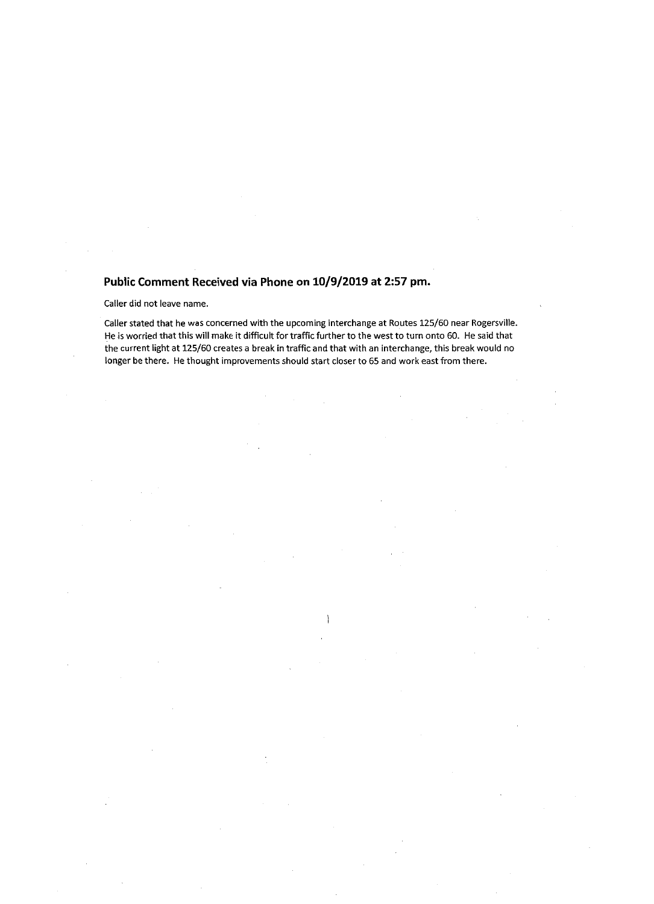## Public Comment Received via Phone on 10/9/2019 at 2:57 pm.

Caller did not leave name.

Caller stated that he was concerned with the upcoming interchange at Routes 125/60 near Rogersville. He is worried that this will make it difficult for traffic further to the west to turn onto 60. He said that the current light at 125/60 creates <sup>a</sup> break in traffic and that with an interchange, this break would no longer be there. He thought improvements should start closer to 65 and work east from there.

 $\rightarrow$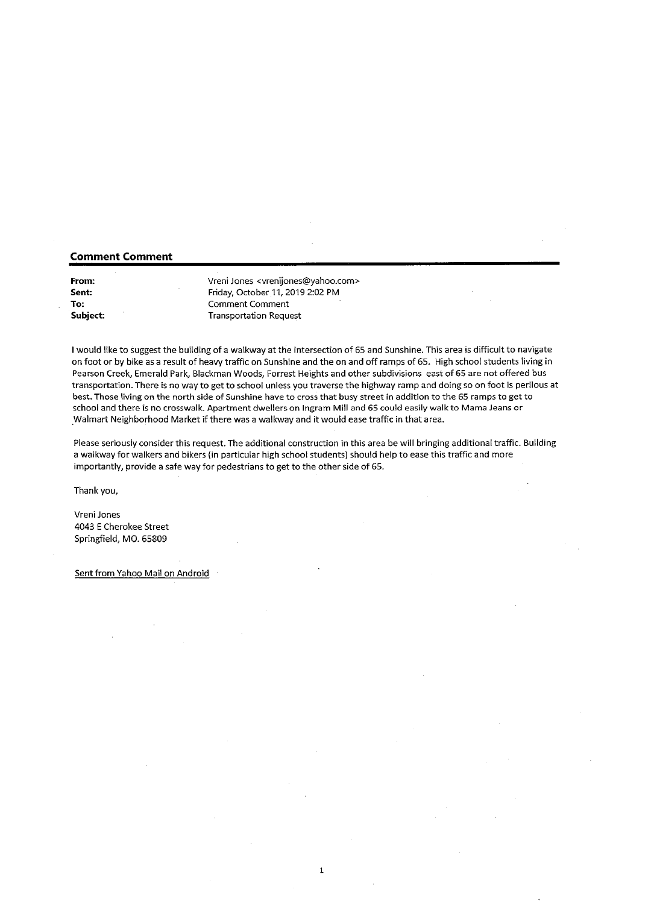## Comment Comment

| From:    |  |
|----------|--|
| Sent:    |  |
| To:      |  |
| Subject: |  |

Vreni Jones <vrenijones@yahoo.com> Friday, October 11, 2019 2:02 PM Comment Comment Transportation Request

<sup>1</sup> would like to suggest the building of <sup>a</sup> walkway at the intersection of 65 and Sunshine. This area is difficult to navigate on foot or by bike as <sup>a</sup> result of heavy traffic on Sunshine and the on and off ramps of 65. High school students living in Pearson Creek, Emerald Park, Blackman Woods, Forrest Heights and other subdivisions east of 65 are not offered bus transportation. There is no way to get to schooi unless you traverse the highway ramp and doing so on foot is perilous at best. Those living on the north side of Sunshine have to cross that busy street in addition to the 65 ramps to get to school and there is no crosswalk. Apartment dwellers on Ingram Mill and 65 could easily walk to Mama Jeans or Walmart Neighborhood Market if there was a walkway and it would ease traffic in that area.

Please seriously consider this request. The additional construction in this area be will bringing additional traffic. Building <sup>a</sup> walkway for walkers and bikers (in particular high school students) should help to ease this traffic and more importantly, provide <sup>a</sup> safe way for pedestrians to get to the other side of 65.

 $\mathbf{1}$ 

Thankyou,

Vreni Jones 4043 <sup>E</sup> Cherokee Street Springfield, MO. 65809

Sent from Yahoo Mail on Android